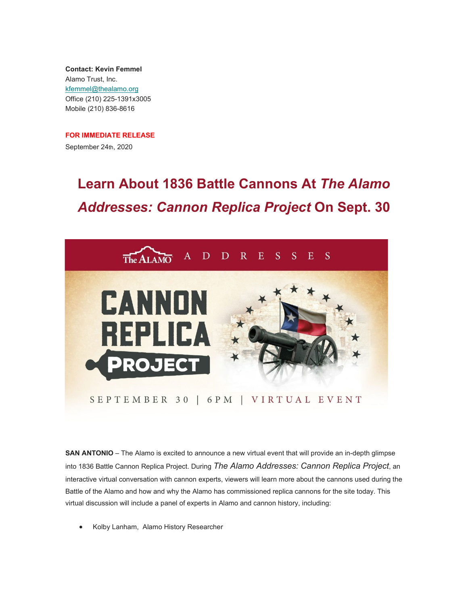**Contact: Kevin Femmel** Alamo Trust, Inc. [kfemmel@thealamo.org](mailto:kfemmel@thealamo.org) Office (210) 225-1391x3005 Mobile (210) 836-8616

**FOR IMMEDIATE RELEASE**

September 24th, 2020

## **Learn About 1836 Battle Cannons At** *The Alamo Addresses: Cannon Replica Project* **On Sept. 30**



**SAN ANTONIO** – The Alamo is excited to announce a new virtual event that will provide an in-depth glimpse into 1836 Battle Cannon Replica Project. During *The Alamo Addresses: Cannon Replica Project*, an interactive virtual conversation with cannon experts, viewers will learn more about the cannons used during the Battle of the Alamo and how and why the Alamo has commissioned replica cannons for the site today. This virtual discussion will include a panel of experts in Alamo and cannon history, including:

• Kolby Lanham, Alamo History Researcher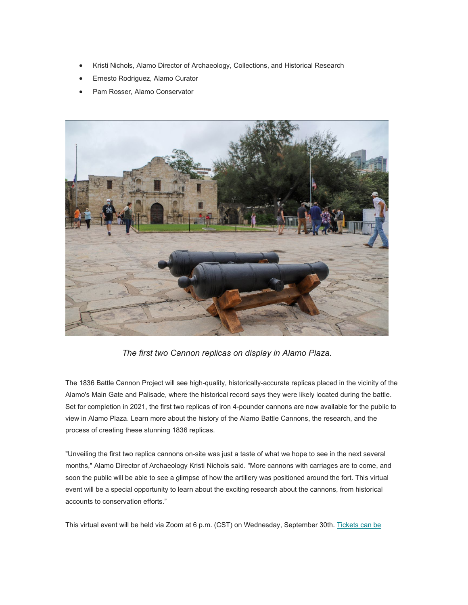- Kristi Nichols, Alamo Director of Archaeology, Collections, and Historical Research
- Ernesto Rodriguez, Alamo Curator
- Pam Rosser, Alamo Conservator



*The first two Cannon replicas on display in Alamo Plaza.*

The 1836 Battle Cannon Project will see high-quality, historically-accurate replicas placed in the vicinity of the Alamo's Main Gate and Palisade, where the historical record says they were likely located during the battle. Set for completion in 2021, the first two replicas of iron 4-pounder cannons are now available for the public to view in Alamo Plaza. Learn more about the history of the Alamo Battle Cannons, the research, and the process of creating these stunning 1836 replicas.

"Unveiling the first two replica cannons on-site was just a taste of what we hope to see in the next several months," Alamo Director of Archaeology Kristi Nichols said. "More cannons with carriages are to come, and soon the public will be able to see a glimpse of how the artillery was positioned around the fort. This virtual event will be a special opportunity to learn about the exciting research about the cannons, from historical accounts to conservation efforts."

This virtual event will be held via Zoom at 6 p.m. (CST) on Wednesday, September 30th. [Tickets can be](https://nam04.safelinks.protection.outlook.com/?url=https%3A%2F%2Furldefense.com%2Fv3%2F__https%3A%2Fnam04.safelinks.protection.outlook.com%2F%3Furl%3Dhttps*3A*2F*2Ftickets.thealamo.org*2Fevents*2F886fc585-8337-e3ae-84f8-5b140120dc6b*3Futm_source*3DSan*2BAntonio*2BMedia*26utm_campaign*3Dc0b9388587-EMAIL_CAMPAIGN_2020_Board_COPY_01*26utm_medium*3Demail*26utm_term*3D0_1f2b90f7ea-c0b9388587-%26data%3D02*7C01*7Ckfemmel*40thealamo.org*7Ce22867d732c74ae5569d08d85ffe9cc5*7Cf9de3f16425b4254b2dafc5ccd0420ed*7C0*7C0*7C637364894478721211%26sdata%3DA7BsS3UPKp7wYPYqe53K8hZBHNtE5tIuO2sdrU*2Bn5cM*3D%26reserved%3D0__%3BJSUlJSUlJSUlJSUlJSUlJSUlJSUlJSUlJQ!!KdvXE0Mailv0sVgoF6U!RhkO2d8U_pBMfziMA_Qw0ArcnEB2Cf7vFi6cvtgJddgWx1VnXDd0XvO6XEBsE2qtTNMpTMdK%24&data=02%7C01%7Ckfemmel%40thealamo.org%7C46f12184da9f44b73c9c08d8600b42cf%7Cf9de3f16425b4254b2dafc5ccd0420ed%7C0%7C0%7C637364948805722715&sdata=%2Bbh4lIH0INeSxNEdgPY644qCKiSP0Ludr8hbE1G%2B%2FqI%3D&reserved=0)